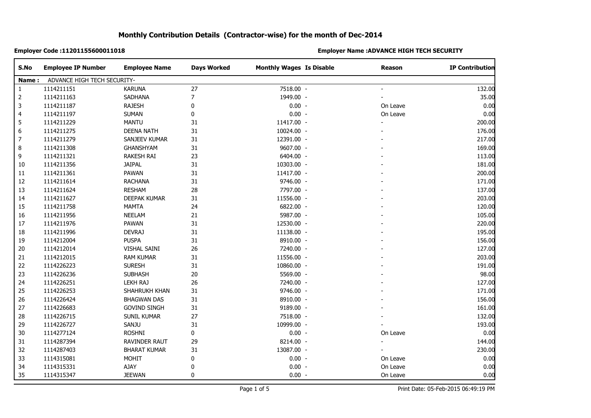| S.No           | <b>Employee IP Number</b>   | <b>Employee Name</b> | <b>Days Worked</b> | <b>Monthly Wages Is Disable</b> | Reason   | <b>IP Contribution</b> |
|----------------|-----------------------------|----------------------|--------------------|---------------------------------|----------|------------------------|
| Name:          | ADVANCE HIGH TECH SECURITY- |                      |                    |                                 |          |                        |
| $\mathbf{1}$   | 1114211151                  | <b>KARUNA</b>        | 27                 | 7518.00 -                       |          | 132.00                 |
| $\overline{2}$ | 1114211163                  | <b>SADHANA</b>       | $\overline{7}$     | 1949.00 -                       |          | 35.00                  |
| 3              | 1114211187                  | <b>RAJESH</b>        | $\pmb{0}$          | $0.00 -$                        | On Leave | 0.00                   |
| 4              | 1114211197                  | <b>SUMAN</b>         | $\pmb{0}$          | $0.00 -$                        | On Leave | 0.00                   |
| 5              | 1114211229                  | <b>MANTU</b>         | 31                 | 11417.00 -                      |          | 200.00                 |
| 6              | 1114211275                  | <b>DEENA NATH</b>    | 31                 | 10024.00 -                      |          | 176.00                 |
| 7              | 1114211279                  | SANJEEV KUMAR        | 31                 | 12391.00 -                      |          | 217.00                 |
| 8              | 1114211308                  | GHANSHYAM            | 31                 | 9607.00 -                       |          | 169.00                 |
| 9              | 1114211321                  | RAKESH RAI           | 23                 | 6404.00 -                       |          | 113.00                 |
| 10             | 1114211356                  | <b>JAIPAL</b>        | 31                 | 10303.00 -                      |          | 181.00                 |
| 11             | 1114211361                  | PAWAN                | 31                 | 11417.00 -                      |          | 200.00                 |
| 12             | 1114211614                  | <b>RACHANA</b>       | 31                 | 9746.00 -                       |          | 171.00                 |
| 13             | 1114211624                  | <b>RESHAM</b>        | 28                 | 7797.00 -                       |          | 137.00                 |
| 14             | 1114211627                  | DEEPAK KUMAR         | 31                 | 11556.00 -                      |          | 203.00                 |
| 15             | 1114211758                  | <b>MAMTA</b>         | 24                 | 6822.00 -                       |          | 120.00                 |
| $16\,$         | 1114211956                  | <b>NEELAM</b>        | 21                 | 5987.00 -                       |          | 105.00                 |
| 17             | 1114211976                  | PAWAN                | 31                 | 12530.00 -                      |          | 220.00                 |
| 18             | 1114211996                  | <b>DEVRAJ</b>        | 31                 | 11138.00 -                      |          | 195.00                 |
| 19             | 1114212004                  | <b>PUSPA</b>         | 31                 | 8910.00 -                       |          | 156.00                 |
| 20             | 1114212014                  | VISHAL SAINI         | 26                 | 7240.00 -                       |          | 127.00                 |
| 21             | 1114212015                  | <b>RAM KUMAR</b>     | 31                 | 11556.00 -                      |          | 203.00                 |
| 22             | 1114226223                  | <b>SURESH</b>        | 31                 | 10860.00 -                      |          | 191.00                 |
| 23             | 1114226236                  | <b>SUBHASH</b>       | 20                 | 5569.00 -                       |          | 98.00                  |
| 24             | 1114226251                  | <b>LEKH RAJ</b>      | 26                 | 7240.00 -                       |          | 127.00                 |
| 25             | 1114226253                  | SHAHRUKH KHAN        | 31                 | 9746.00 -                       |          | 171.00                 |
| 26             | 1114226424                  | <b>BHAGWAN DAS</b>   | 31                 | 8910.00 -                       |          | 156.00                 |
| 27             | 1114226683                  | <b>GOVIND SINGH</b>  | 31                 | 9189.00 -                       |          | 161.00                 |
| 28             | 1114226715                  | SUNIL KUMAR          | 27                 | 7518.00 -                       |          | 132.00                 |
| 29             | 1114226727                  | SANJU                | 31                 | 10999.00 -                      |          | 193.00                 |
| 30             | 1114277124                  | <b>ROSHNI</b>        | 0                  | $0.00 -$                        | On Leave | 0.00                   |
| 31             | 1114287394                  | <b>RAVINDER RAUT</b> | 29                 | 8214.00 -                       |          | 144.00                 |
| 32             | 1114287403                  | <b>BHARAT KUMAR</b>  | 31                 | 13087.00 -                      |          | 230.00                 |
| 33             | 1114315081                  | MOHIT                | 0                  | $0.00 -$                        | On Leave | 0.00                   |
| 34             | 1114315331                  | AJAY                 | $\pmb{0}$          | $0.00 -$                        | On Leave | 0.00                   |
| 35             | 1114315347                  | <b>JEEWAN</b>        | 0                  | $0.00 -$                        | On Leave | 0.00                   |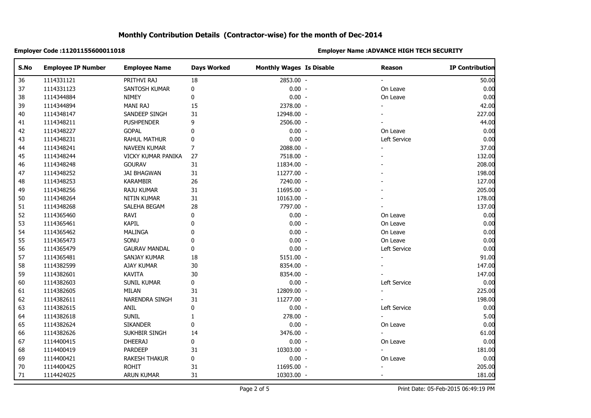| S.No | <b>Employee IP Number</b> | <b>Employee Name</b> | <b>Days Worked</b> | <b>Monthly Wages Is Disable</b> | Reason       | <b>IP Contribution</b> |
|------|---------------------------|----------------------|--------------------|---------------------------------|--------------|------------------------|
| 36   | 1114331121                | PRITHVI RAJ          | 18                 | 2853.00 -                       |              | 50.00                  |
| 37   | 1114331123                | SANTOSH KUMAR        | 0                  | $0.00 -$                        | On Leave     | 0.00                   |
| 38   | 1114344884                | <b>NIMEY</b>         | $\pmb{0}$          | $0.00 -$                        | On Leave     | 0.00                   |
| 39   | 1114344894                | <b>MANI RAJ</b>      | 15                 | 2378.00 -                       |              | 42.00                  |
| 40   | 1114348147                | SANDEEP SINGH        | 31                 | 12948.00 -                      |              | 227.00                 |
| 41   | 1114348211                | <b>PUSHPENDER</b>    | 9                  | 2506.00 -                       |              | 44.00                  |
| 42   | 1114348227                | <b>GOPAL</b>         | $\mathbf 0$        | $0.00 -$                        | On Leave     | 0.00                   |
| 43   | 1114348231                | RAHUL MATHUR         | $\pmb{0}$          | $0.00 -$                        | Left Service | 0.00                   |
| 44   | 1114348241                | <b>NAVEEN KUMAR</b>  | $\overline{7}$     | 2088.00 -                       |              | 37.00                  |
| 45   | 1114348244                | VICKY KUMAR PANIKA   | 27                 | 7518.00 -                       |              | 132.00                 |
| 46   | 1114348248                | <b>GOURAV</b>        | 31                 | 11834.00 -                      |              | 208.00                 |
| 47   | 1114348252                | <b>JAI BHAGWAN</b>   | 31                 | 11277.00 -                      |              | 198.00                 |
| 48   | 1114348253                | KARAMBIR             | 26                 | 7240.00 -                       |              | 127.00                 |
| 49   | 1114348256                | RAJU KUMAR           | 31                 | 11695.00 -                      |              | 205.00                 |
| 50   | 1114348264                | NITIN KUMAR          | 31                 | 10163.00 -                      |              | 178.00                 |
| 51   | 1114348268                | SALEHA BEGAM         | 28                 | 7797.00 -                       |              | 137.00                 |
| 52   | 1114365460                | RAVI                 | 0                  | $0.00 -$                        | On Leave     | 0.00                   |
| 53   | 1114365461                | <b>KAPIL</b>         | 0                  | $0.00 -$                        | On Leave     | 0.00                   |
| 54   | 1114365462                | MALINGA              | $\mathbf 0$        | $0.00 -$                        | On Leave     | 0.00                   |
| 55   | 1114365473                | SONU                 | $\mathbf 0$        | $0.00 -$                        | On Leave     | 0.00                   |
| 56   | 1114365479                | <b>GAURAV MANDAL</b> | 0                  | $0.00 -$                        | Left Service | 0.00                   |
| 57   | 1114365481                | SANJAY KUMAR         | 18                 | 5151.00 -                       |              | 91.00                  |
| 58   | 1114382599                | AJAY KUMAR           | 30                 | 8354.00 -                       |              | 147.00                 |
| 59   | 1114382601                | <b>KAVITA</b>        | 30                 | 8354.00 -                       |              | 147.00                 |
| 60   | 1114382603                | SUNIL KUMAR          | 0                  | $0.00 -$                        | Left Service | 0.00                   |
| 61   | 1114382605                | MILAN                | 31                 | 12809.00 -                      |              | 225.00                 |
| 62   | 1114382611                | NARENDRA SINGH       | 31                 | 11277.00 -                      |              | 198.00                 |
| 63   | 1114382615                | ANIL                 | $\pmb{0}$          | $0.00 -$                        | Left Service | 0.00                   |
| 64   | 1114382618                | <b>SUNIL</b>         | 1                  | 278.00 -                        |              | 5.00                   |
| 65   | 1114382624                | <b>SIKANDER</b>      | 0                  | $0.00 -$                        | On Leave     | 0.00                   |
| 66   | 1114382626                | SUKHBIR SINGH        | 14                 | 3476.00 -                       |              | 61.00                  |
| 67   | 1114400415                | <b>DHEERAJ</b>       | $\pmb{0}$          | $0.00 -$                        | On Leave     | 0.00                   |
| 68   | 1114400419                | PARDEEP              | 31                 | 10303.00 -                      |              | 181.00                 |
| 69   | 1114400421                | RAKESH THAKUR        | 0                  | $0.00 -$                        | On Leave     | 0.00                   |
| 70   | 1114400425                | <b>ROHIT</b>         | 31                 | 11695.00 -                      |              | 205.00                 |
| 71   | 1114424025                | <b>ARUN KUMAR</b>    | 31                 | 10303.00 -                      |              | 181.00                 |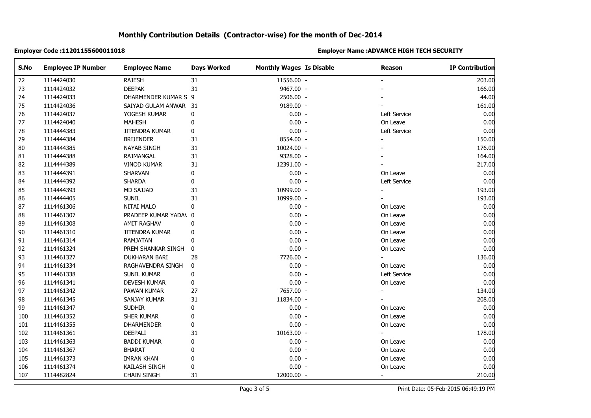| S.No     | <b>Employee IP Number</b> | <b>Employee Name</b>  | <b>Days Worked</b> | <b>Monthly Wages Is Disable</b> | Reason                   | <b>IP Contribution</b> |
|----------|---------------------------|-----------------------|--------------------|---------------------------------|--------------------------|------------------------|
| 72       | 1114424030                | <b>RAJESH</b>         | 31                 | 11556.00 -                      |                          | 203.00                 |
| 73       | 1114424032                | <b>DEEPAK</b>         | 31                 | 9467.00 -                       |                          | 166.00                 |
| 74       | 1114424033                | DHARMENDER KUMAR S 9  |                    | 2506.00 -                       |                          | 44.00                  |
| 75       | 1114424036                | SAIYAD GULAM ANWAR 31 |                    | 9189.00 -                       |                          | 161.00                 |
| 76       | 1114424037                | YOGESH KUMAR          | $\pmb{0}$          | $0.00 -$                        | Left Service             | 0.00                   |
| 77       | 1114424040                | <b>MAHESH</b>         | 0                  | $0.00 -$                        | On Leave                 | 0.00                   |
| 78       | 1114444383                | JITENDRA KUMAR        | 0                  | $0.00 -$                        | Left Service             | 0.00                   |
| 79       | 1114444384                | <b>BRIJENDER</b>      | 31                 | 8554.00 -                       |                          | 150.00                 |
| 80       | 1114444385                | <b>NAYAB SINGH</b>    | 31                 | 10024.00 -                      |                          | 176.00                 |
| 81       | 1114444388                | RAJMANGAL             | 31                 | 9328.00 -                       |                          | 164.00                 |
| 82       | 1114444389                | <b>VINOD KUMAR</b>    | 31                 | 12391.00 -                      |                          | 217.00                 |
| 83       | 1114444391                | SHARVAN               | 0                  | $0.00 -$                        | On Leave                 | 0.00                   |
| 84       | 1114444392                | <b>SHARDA</b>         | 0                  | $0.00 -$                        | Left Service             | 0.00                   |
| 85       | 1114444393                | <b>MD SAJJAD</b>      | 31                 | 10999.00 -                      |                          | 193.00                 |
| 86       | 1114444405                | <b>SUNIL</b>          | 31                 | 10999.00 -                      |                          | 193.00                 |
|          | 1114461306                | NITAI MALO            | $\mathbf 0$        | $0.00 -$                        | On Leave                 | 0.00                   |
| 88       | 1114461307                | PRADEEP KUMAR YADAV 0 |                    | $0.00 -$                        | On Leave                 | 0.00                   |
| 89       | 1114461308                | AMIT RAGHAV           | 0                  | $0.00 -$                        | On Leave                 | 0.00                   |
|          | 1114461310                | JITENDRA KUMAR        | 0                  | $0.00 -$                        | On Leave                 | 0.00                   |
| 90<br>91 | 1114461314                | <b>RAMJATAN</b>       | 0                  | $0.00 -$                        | On Leave                 | 0.00                   |
|          | 1114461324                | PREM SHANKAR SINGH    | 0                  | $0.00 -$                        | On Leave                 | 0.00                   |
|          | 1114461327                | DUKHARAN BARI         | 28                 | 7726.00 -                       |                          | 136.00                 |
| 94       | 1114461334                | RAGHAVENDRA SINGH     | 0                  | $0.00 -$                        | On Leave                 | 0.00                   |
|          | 1114461338                | SUNIL KUMAR           | $\pmb{0}$          | $0.00 -$                        | Left Service             | 0.00                   |
|          | 1114461341                | DEVESH KUMAR          | $\pmb{0}$          | $0.00 -$                        | On Leave                 | 0.00                   |
| 97       | 1114461342                | PAWAN KUMAR           | 27                 | 7657.00 -                       |                          | 134.00                 |
| 98       | 1114461345                | SANJAY KUMAR          | 31                 | 11834.00 -                      |                          | 208.00                 |
| 99       | 1114461347                | <b>SUDHIR</b>         | 0                  | $0.00 -$                        | On Leave                 | 0.00                   |
| 100      | 1114461352                | SHER KUMAR            | $\mathbf 0$        | $0.00 -$                        | On Leave                 | 0.00                   |
| 101      | 1114461355                | <b>DHARMENDER</b>     | $\pmb{0}$          | $0.00 -$                        | On Leave                 | 0.00                   |
| 102      | 1114461361                | DEEPALI               | 31                 | 10163.00 -                      |                          | 178.00                 |
| 103      | 1114461363                | <b>BADDI KUMAR</b>    | 0                  | $0.00 -$                        | On Leave                 | 0.00                   |
| 104      | 1114461367                | <b>BHARAT</b>         | 0                  | $0.00 -$                        | On Leave                 | 0.00                   |
| 105      | 1114461373                | <b>IMRAN KHAN</b>     | 0                  | $0.00 -$                        | On Leave                 | 0.00                   |
| 106      | 1114461374                | KAILASH SINGH         | $\pmb{0}$          | $0.00 -$                        | On Leave                 | 0.00                   |
| 107      | 1114482824                | <b>CHAIN SINGH</b>    | 31                 | 12000.00 -                      | $\overline{\phantom{0}}$ | 210.00                 |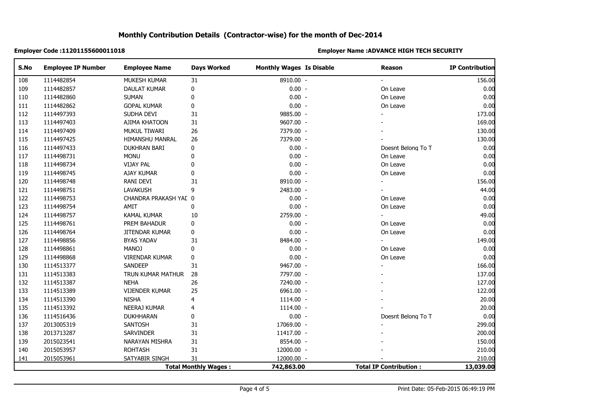| S.No | <b>Employee IP Number</b> | <b>Employee Name</b>  | <b>Days Worked</b>          | <b>Monthly Wages Is Disable</b> | Reason                        | <b>IP Contribution</b> |
|------|---------------------------|-----------------------|-----------------------------|---------------------------------|-------------------------------|------------------------|
| 108  | 1114482854                | MUKESH KUMAR          | 31                          | 8910.00 -                       |                               | 156.00                 |
| 109  | 1114482857                | DAULAT KUMAR          | 0                           | $0.00 -$                        | On Leave                      | 0.00                   |
| 110  | 1114482860                | <b>SUMAN</b>          | 0                           | $0.00 -$                        | On Leave                      | 0.00                   |
| 111  | 1114482862                | <b>GOPAL KUMAR</b>    | 0                           | $0.00 -$                        | On Leave                      | 0.00                   |
| 112  | 1114497393                | SUDHA DEVI            | 31                          | 9885.00 -                       |                               | 173.00                 |
| 113  | 1114497403                | AJIMA KHATOON         | 31                          | 9607.00 -                       |                               | 169.00                 |
| 114  | 1114497409                | MUKUL TIWARI          | 26                          | 7379.00 -                       |                               | 130.00                 |
| 115  | 1114497425                | HIMANSHU MANRAL       | 26                          | 7379.00 -                       |                               | 130.00                 |
| 116  | 1114497433                | DUKHRAN BARI          | 0                           | $0.00 -$                        | Doesnt Belong To T            | 0.00                   |
| 117  | 1114498731                | <b>MONU</b>           | 0                           | $0.00 -$                        | On Leave                      | 0.00                   |
| 118  | 1114498734                | <b>VIJAY PAL</b>      | 0                           | $0.00 -$                        | On Leave                      | 0.00                   |
| 119  | 1114498745                | AJAY KUMAR            | $\mathbf{0}$                | $0.00 -$                        | On Leave                      | 0.00                   |
| 120  | 1114498748                | <b>RANI DEVI</b>      | 31                          | 8910.00 -                       |                               | 156.00                 |
| 121  | 1114498751                | LAVAKUSH              | 9                           | 2483.00 -                       |                               | 44.00                  |
| 122  | 1114498753                | CHANDRA PRAKASH YAE 0 |                             | $0.00 -$                        | On Leave                      | 0.00                   |
| 123  | 1114498754                | AMIT                  | 0                           | $0.00 -$                        | On Leave                      | 0.00                   |
| 124  | 1114498757                | <b>KAMAL KUMAR</b>    | 10                          | 2759.00 -                       |                               | 49.00                  |
| 125  | 1114498761                | PREM BAHADUR          | 0                           | $0.00 -$                        | On Leave                      | 0.00                   |
| 126  | 1114498764                | <b>JITENDAR KUMAR</b> | 0                           | $0.00 -$                        | On Leave                      | 0.00                   |
| 127  | 1114498856                | <b>BYAS YADAV</b>     | 31                          | 8484.00 -                       |                               | 149.00                 |
| 128  | 1114498861                | <b>MANOJ</b>          | 0                           | $0.00 -$                        | On Leave                      | 0.00                   |
| 129  | 1114498868                | <b>VIRENDAR KUMAR</b> | 0                           | $0.00 -$                        | On Leave                      | 0.00                   |
| 130  | 1114513377                | SANDEEP               | 31                          | 9467.00 -                       |                               | 166.00                 |
| 131  | 1114513383                | TRUN KUMAR MATHUR     | 28                          | 7797.00 -                       |                               | 137.00                 |
| 132  | 1114513387                | <b>NEHA</b>           | 26                          | 7240.00 -                       |                               | 127.00                 |
| 133  | 1114513389                | <b>VIJENDER KUMAR</b> | 25                          | 6961.00 -                       |                               | 122.00                 |
| 134  | 1114513390                | <b>NISHA</b>          | 4                           | 1114.00 -                       |                               | 20.00                  |
| 135  | 1114513392                | <b>NEERAJ KUMAR</b>   | 4                           | 1114.00 -                       |                               | 20.00                  |
| 136  | 1114516436                | DUKHHARAN             | 0                           | $0.00 -$                        | Doesnt Belong To T            | 0.00                   |
| 137  | 2013005319                | SANTOSH               | 31                          | 17069.00 -                      |                               | 299.00                 |
| 138  | 2013713287                | <b>SARVINDER</b>      | 31                          | 11417.00 -                      |                               | 200.00                 |
| 139  | 2015023541                | NARAYAN MISHRA        | 31                          | 8554.00 -                       |                               | 150.00                 |
| 140  | 2015053957                | <b>ROHTASH</b>        | 31                          | 12000.00 -                      |                               | 210.00                 |
| 141  | 2015053961                | SATYABIR SINGH        | 31                          | 12000.00 -                      |                               | 210.00                 |
|      |                           |                       | <b>Total Monthly Wages:</b> | 742,863.00                      | <b>Total IP Contribution:</b> | 13,039.00              |